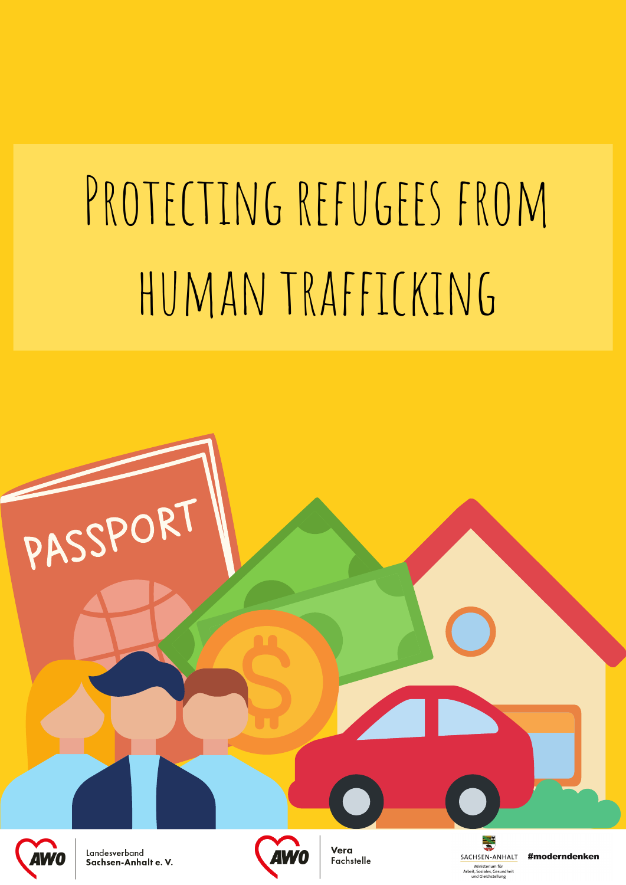# PROTECTING REFUGEES FROM HUMAN TRAFFICKING



Landesverband Sachsen-Anhalte. V.

PASSPORT



Vera Fachstelle SACHSEN-ANHALT Ministerium für Arbeit, Soziales, Gesun<br>und Gleichstellung undhei

#moderndenken